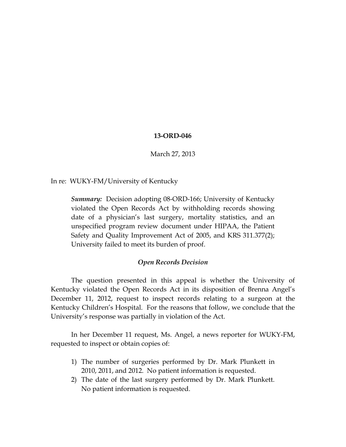## **13-ORD-046**

March 27, 2013

In re: WUKY-FM/University of Kentucky

*Summary:* Decision adopting 08-ORD-166; University of Kentucky violated the Open Records Act by withholding records showing date of a physician's last surgery, mortality statistics, and an unspecified program review document under HIPAA, the Patient Safety and Quality Improvement Act of 2005, and KRS 311.377(2); University failed to meet its burden of proof.

## *Open Records Decision*

The question presented in this appeal is whether the University of Kentucky violated the Open Records Act in its disposition of Brenna Angel's December 11, 2012, request to inspect records relating to a surgeon at the Kentucky Children's Hospital. For the reasons that follow, we conclude that the University's response was partially in violation of the Act.

In her December 11 request, Ms. Angel, a news reporter for WUKY-FM, requested to inspect or obtain copies of:

- 1) The number of surgeries performed by Dr. Mark Plunkett in 2010, 2011, and 2012. No patient information is requested.
- 2) The date of the last surgery performed by Dr. Mark Plunkett. No patient information is requested.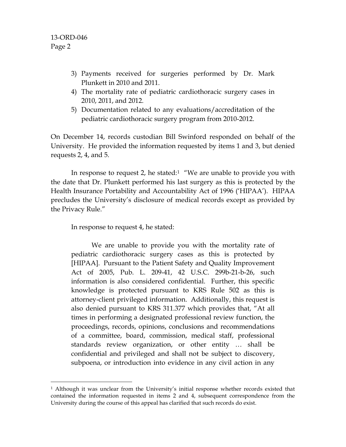- 3) Payments received for surgeries performed by Dr. Mark Plunkett in 2010 and 2011.
- 4) The mortality rate of pediatric cardiothoracic surgery cases in 2010, 2011, and 2012.
- 5) Documentation related to any evaluations/accreditation of the pediatric cardiothoracic surgery program from 2010-2012.

On December 14, records custodian Bill Swinford responded on behalf of the University. He provided the information requested by items 1 and 3, but denied requests 2, 4, and 5.

In response to request 2, he stated: $1$  "We are unable to provide you with the date that Dr. Plunkett performed his last surgery as this is protected by the Health Insurance Portability and Accountability Act of 1996 ('HIPAA'). HIPAA precludes the University's disclosure of medical records except as provided by the Privacy Rule."

In response to request 4, he stated:

We are unable to provide you with the mortality rate of pediatric cardiothoracic surgery cases as this is protected by [HIPAA]. Pursuant to the Patient Safety and Quality Improvement Act of 2005, Pub. L. 209-41, 42 U.S.C. 299b-21-b-26, such information is also considered confidential. Further, this specific knowledge is protected pursuant to KRS Rule 502 as this is attorney-client privileged information. Additionally, this request is also denied pursuant to KRS 311.377 which provides that, "At all times in performing a designated professional review function, the proceedings, records, opinions, conclusions and recommendations of a committee, board, commission, medical staff, professional standards review organization, or other entity … shall be confidential and privileged and shall not be subject to discovery, subpoena, or introduction into evidence in any civil action in any

<span id="page-1-0"></span><sup>&</sup>lt;sup>1</sup> Although it was unclear from the University's initial response whether records existed that contained the information requested in items 2 and 4, subsequent correspondence from the University during the course of this appeal has clarified that such records do exist.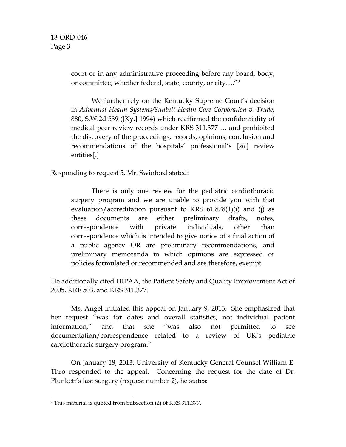court or in any administrative proceeding before any board, body, or committee, whether federal, state, county, or city…."[2](#page-2-0)

We further rely on the Kentucky Supreme Court's decision in *Adventist Health Systems/Sunbelt Health Care Corporation v. Trude,* 880, S.W.2d 539 ([Ky.] 1994) which reaffirmed the confidentiality of medical peer review records under KRS 311.377 … and prohibited the discovery of the proceedings, records, opinions, conclusion and recommendations of the hospitals' professional's [*sic*] review entities[.]

Responding to request 5, Mr. Swinford stated:

There is only one review for the pediatric cardiothoracic surgery program and we are unable to provide you with that evaluation/accreditation pursuant to KRS 61.878(1)(i) and (j) as these documents are either preliminary drafts, notes, correspondence with private individuals, other than correspondence which is intended to give notice of a final action of a public agency OR are preliminary recommendations, and preliminary memoranda in which opinions are expressed or policies formulated or recommended and are therefore, exempt.

He additionally cited HIPAA, the Patient Safety and Quality Improvement Act of 2005, KRE 503, and KRS 311.377.

Ms. Angel initiated this appeal on January 9, 2013. She emphasized that her request "was for dates and overall statistics, not individual patient information," and that she "was also not permitted to see documentation/correspondence related to a review of UK's pediatric cardiothoracic surgery program."

On January 18, 2013, University of Kentucky General Counsel William E. Thro responded to the appeal. Concerning the request for the date of Dr. Plunkett's last surgery (request number 2), he states:

<span id="page-2-0"></span> <sup>2</sup> This material is quoted from Subsection (2) of KRS 311.377.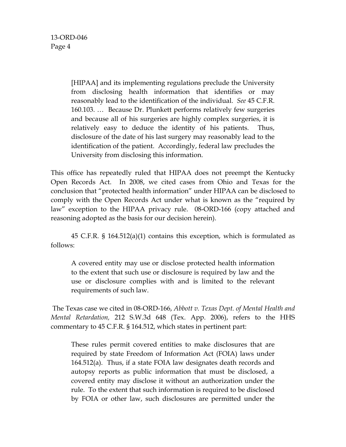> [HIPAA] and its implementing regulations preclude the University from disclosing health information that identifies or may reasonably lead to the identification of the individual. *See* 45 C.F.R. 160.103. … Because Dr. Plunkett performs relatively few surgeries and because all of his surgeries are highly complex surgeries, it is relatively easy to deduce the identity of his patients. Thus, disclosure of the date of his last surgery may reasonably lead to the identification of the patient. Accordingly, federal law precludes the University from disclosing this information.

This office has repeatedly ruled that HIPAA does not preempt the Kentucky Open Records Act. In 2008, we cited cases from Ohio and Texas for the conclusion that "protected health information" under HIPAA can be disclosed to comply with the Open Records Act under what is known as the "required by law" exception to the HIPAA privacy rule. 08-ORD-166 (copy attached and reasoning adopted as the basis for our decision herein).

45 C.F.R. § 164.512(a)(1) contains this exception, which is formulated as follows:

A covered entity may use or disclose protected health information to the extent that such use or disclosure is required by law and the use or disclosure complies with and is limited to the relevant requirements of such law.

The Texas case we cited in 08-ORD-166, *Abbott v. Texas Dept. of Mental Health and Mental Retardation,* 212 S.W.3d 648 (Tex. App. 2006), refers to the HHS commentary to 45 C.F.R. § 164.512, which states in pertinent part:

These rules permit covered entities to make disclosures that are required by state Freedom of Information Act (FOIA) laws under 164.512(a). Thus, if a state FOIA law designates death records and autopsy reports as public information that must be disclosed, a covered entity may disclose it without an authorization under the rule. To the extent that such information is required to be disclosed by FOIA or other law, such disclosures are permitted under the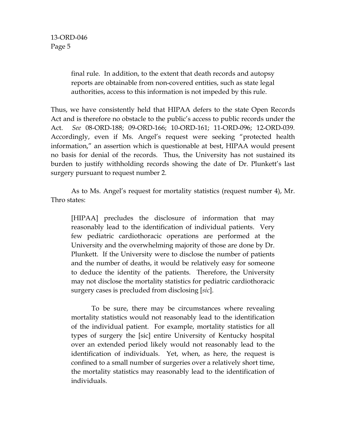> final rule. In addition, to the extent that death records and autopsy reports are obtainable from non-covered entities, such as state legal authorities, access to this information is not impeded by this rule.

Thus, we have consistently held that HIPAA defers to the state Open Records Act and is therefore no obstacle to the public's access to public records under the Act. *See* 08-ORD-188; 09-ORD-166; 10-ORD-161; 11-ORD-096; 12-ORD-039. Accordingly, even if Ms. Angel's request were seeking "protected health information," an assertion which is questionable at best, HIPAA would present no basis for denial of the records. Thus, the University has not sustained its burden to justify withholding records showing the date of Dr. Plunkett's last surgery pursuant to request number 2.

As to Ms. Angel's request for mortality statistics (request number 4), Mr. Thro states:

[HIPAA] precludes the disclosure of information that may reasonably lead to the identification of individual patients. Very few pediatric cardiothoracic operations are performed at the University and the overwhelming majority of those are done by Dr. Plunkett. If the University were to disclose the number of patients and the number of deaths, it would be relatively easy for someone to deduce the identity of the patients. Therefore, the University may not disclose the mortality statistics for pediatric cardiothoracic surgery cases is precluded from disclosing [*sic*].

To be sure, there may be circumstances where revealing mortality statistics would not reasonably lead to the identification of the individual patient. For example, mortality statistics for all types of surgery the [sic] entire University of Kentucky hospital over an extended period likely would not reasonably lead to the identification of individuals. Yet, when, as here, the request is confined to a small number of surgeries over a relatively short time, the mortality statistics may reasonably lead to the identification of individuals.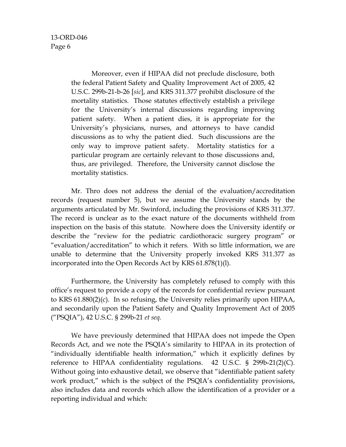Moreover, even if HIPAA did not preclude disclosure, both the federal Patient Safety and Quality Improvement Act of 2005, 42 U.S.C. 299b-21-b-26 [*sic*], and KRS 311.377 prohibit disclosure of the mortality statistics. Those statutes effectively establish a privilege for the University's internal discussions regarding improving patient safety. When a patient dies, it is appropriate for the University's physicians, nurses, and attorneys to have candid discussions as to why the patient died. Such discussions are the only way to improve patient safety. Mortality statistics for a particular program are certainly relevant to those discussions and, thus, are privileged. Therefore, the University cannot disclose the mortality statistics.

Mr. Thro does not address the denial of the evaluation/accreditation records (request number 5), but we assume the University stands by the arguments articulated by Mr. Swinford, including the provisions of KRS 311.377. The record is unclear as to the exact nature of the documents withheld from inspection on the basis of this statute. Nowhere does the University identify or describe the "review for the pediatric cardiothoracic surgery program" or "evaluation/accreditation" to which it refers. With so little information, we are unable to determine that the University properly invoked KRS 311.377 as incorporated into the Open Records Act by KRS 61.878(1)(l).

Furthermore, the University has completely refused to comply with this office's request to provide a copy of the records for confidential review pursuant to KRS 61.880(2)(c). In so refusing, the University relies primarily upon HIPAA, and secondarily upon the Patient Safety and Quality Improvement Act of 2005 ("PSQIA"), 42 U.S.C. § 299b-21 *et seq.*

We have previously determined that HIPAA does not impede the Open Records Act, and we note the PSQIA's similarity to HIPAA in its protection of "individually identifiable health information," which it explicitly defines by reference to HIPAA confidentiality regulations. 42 U.S.C. § 299b-21(2)(C). Without going into exhaustive detail, we observe that "identifiable patient safety work product," which is the subject of the PSQIA's confidentiality provisions, also includes data and records which allow the identification of a provider or a reporting individual and which: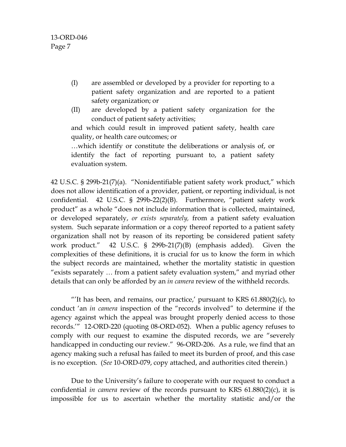- (I) are assembled or developed by a provider for reporting to a patient safety organization and are reported to a patient safety organization; or
- (II) are developed by a patient safety organization for the conduct of patient safety activities;

and which could result in improved patient safety, health care quality, or health care outcomes; or

…which identify or constitute the deliberations or analysis of, or identify the fact of reporting pursuant to, a patient safety evaluation system.

42 U.S.C. § 299b-21(7)(a). "Nonidentifiable patient safety work product," which does not allow identification of a provider, patient, or reporting individual, is not confidential. 42 U.S.C. § 299b-22(2)(B). Furthermore, "patient safety work product" as a whole "does not include information that is collected, maintained, or developed separately, *or exists separately,* from a patient safety evaluation system. Such separate information or a copy thereof reported to a patient safety organization shall not by reason of its reporting be considered patient safety work product." 42 U.S.C. § 299b-21(7)(B) (emphasis added). Given the complexities of these definitions, it is crucial for us to know the form in which the subject records are maintained, whether the mortality statistic in question "exists separately … from a patient safety evaluation system," and myriad other details that can only be afforded by an *in camera* review of the withheld records.

"It has been, and remains, our practice,' pursuant to KRS  $61.880(2)(c)$ , to conduct 'an *in camera* inspection of the "records involved" to determine if the agency against which the appeal was brought properly denied access to those records.'" 12-ORD-220 (quoting 08-ORD-052). When a public agency refuses to comply with our request to examine the disputed records, we are "severely handicapped in conducting our review." 96-ORD-206. As a rule, we find that an agency making such a refusal has failed to meet its burden of proof, and this case is no exception. (*See* 10-ORD-079, copy attached, and authorities cited therein.)

Due to the University's failure to cooperate with our request to conduct a confidential *in camera* review of the records pursuant to KRS 61.880(2)(c), it is impossible for us to ascertain whether the mortality statistic and/or the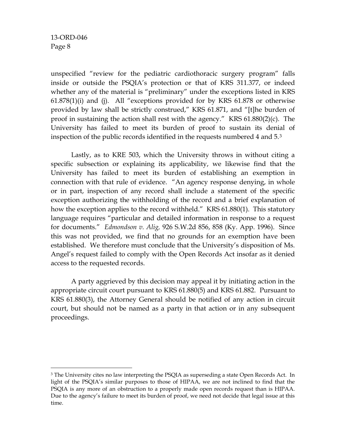unspecified "review for the pediatric cardiothoracic surgery program" falls inside or outside the PSQIA's protection or that of KRS 311.377, or indeed whether any of the material is "preliminary" under the exceptions listed in KRS 61.878(1)(i) and (j). All "exceptions provided for by KRS 61.878 or otherwise provided by law shall be strictly construed," KRS 61.871, and "[t]he burden of proof in sustaining the action shall rest with the agency." KRS 61.880(2)(c). The University has failed to meet its burden of proof to sustain its denial of inspection of the public records identified in the requests numbered 4 and 5.[3](#page-7-0)

Lastly, as to KRE 503, which the University throws in without citing a specific subsection or explaining its applicability, we likewise find that the University has failed to meet its burden of establishing an exemption in connection with that rule of evidence. "An agency response denying, in whole or in part, inspection of any record shall include a statement of the specific exception authorizing the withholding of the record and a brief explanation of how the exception applies to the record withheld." KRS 61.880(1). This statutory language requires "particular and detailed information in response to a request for documents." *Edmondson v. Alig,* 926 S.W.2d 856, 858 (Ky. App. 1996). Since this was not provided, we find that no grounds for an exemption have been established. We therefore must conclude that the University's disposition of Ms. Angel's request failed to comply with the Open Records Act insofar as it denied access to the requested records.

A party aggrieved by this decision may appeal it by initiating action in the appropriate circuit court pursuant to KRS 61.880(5) and KRS 61.882. Pursuant to KRS 61.880(3), the Attorney General should be notified of any action in circuit court, but should not be named as a party in that action or in any subsequent proceedings.

<span id="page-7-0"></span><sup>&</sup>lt;sup>3</sup> The University cites no law interpreting the PSQIA as superseding a state Open Records Act. In light of the PSQIA's similar purposes to those of HIPAA, we are not inclined to find that the PSQIA is any more of an obstruction to a properly made open records request than is HIPAA. Due to the agency's failure to meet its burden of proof, we need not decide that legal issue at this time.